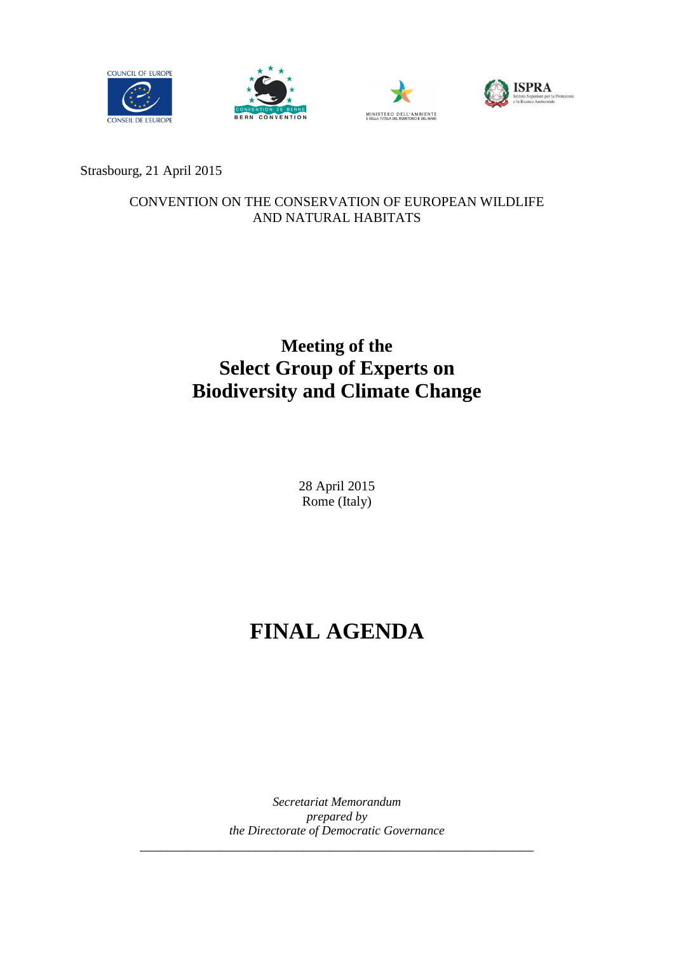







Strasbourg, 21 April 2015

#### CONVENTION ON THE CONSERVATION OF EUROPEAN WILDLIFE AND NATURAL HABITATS

## **Meeting of the Select Group of Experts on Biodiversity and Climate Change**

28 April 2015 Rome (Italy)

# **FINAL AGENDA**

*Secretariat Memorandum prepared by the Directorate of Democratic Governance* \_\_\_\_\_\_\_\_\_\_\_\_\_\_\_\_\_\_\_\_\_\_\_\_\_\_\_\_\_\_\_\_\_\_\_\_\_\_\_\_\_\_\_\_\_\_\_\_\_\_\_\_\_\_\_\_\_\_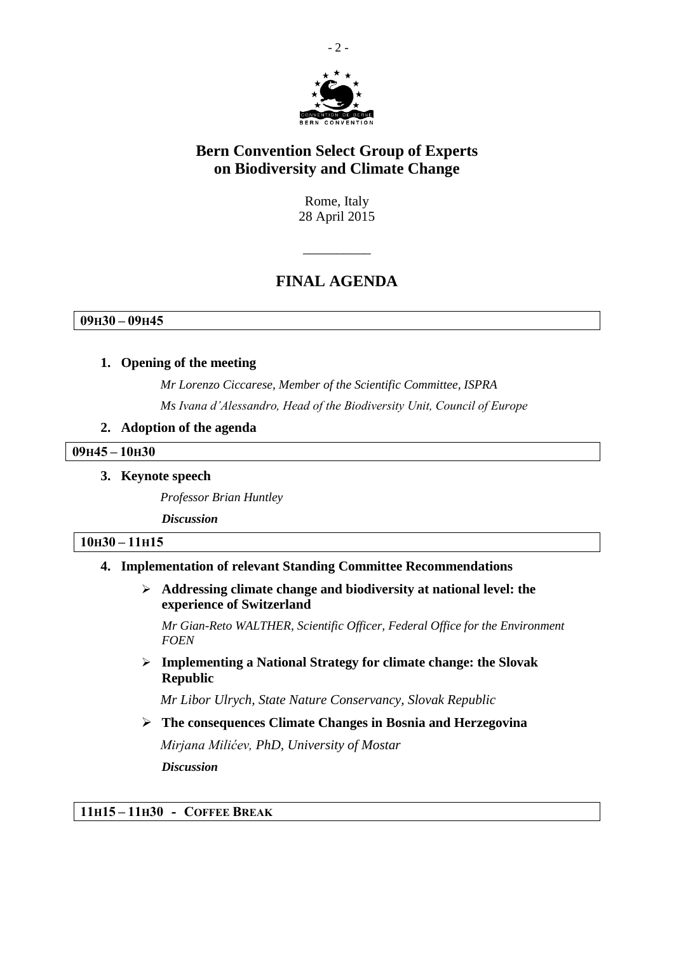

## **Bern Convention Select Group of Experts on Biodiversity and Climate Change**

Rome, Italy 28 April 2015

## **FINAL AGENDA**

 $\overline{\phantom{a}}$  , where  $\overline{\phantom{a}}$ 

**09H30 – 09H45**

#### **1. Opening of the meeting**

*Mr Lorenzo Ciccarese, Member of the Scientific Committee, ISPRA Ms Ivana d'Alessandro, Head of the Biodiversity Unit, Council of Europe*

#### **2. Adoption of the agenda**

#### **09H45 – 10H30**

**3. Keynote speech**

*Professor Brian Huntley*

*Discussion*

#### **10H30 – 11H15**

#### **4. Implementation of relevant Standing Committee Recommendations**

 **Addressing climate change and biodiversity at national level: the experience of Switzerland**

*Mr Gian-Reto WALTHER, Scientific Officer, Federal Office for the Environment FOEN*

 **Implementing a National Strategy for climate change: the Slovak Republic**

*Mr Libor Ulrych, State Nature Conservancy, Slovak Republic*

 **The consequences Climate Changes in Bosnia and Herzegovina** *Mirjana Milićev, PhD, University of Mostar Discussion*

**11H15 – 11H30 - COFFEE BREAK**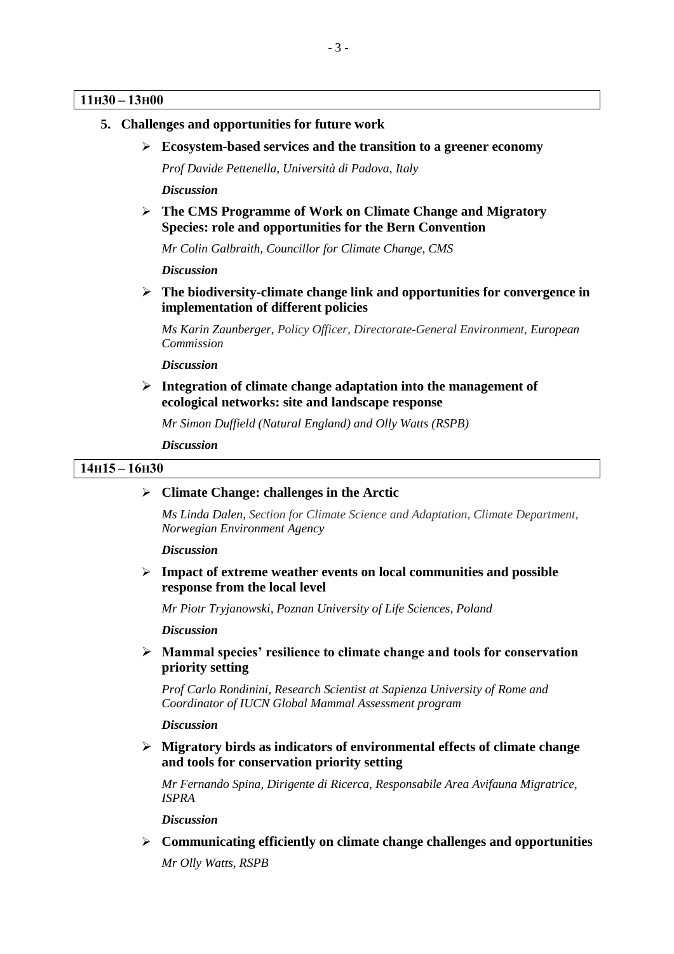#### **11H30 – 13H00**

- **5. Challenges and opportunities for future work**
	- **Ecosystem-based services and the transition to a greener economy**

*Prof Davide Pettenella, Università di Padova, Italy*

*Discussion*

 **The CMS Programme of Work on Climate Change and Migratory Species: role and opportunities for the Bern Convention**

*Mr Colin Galbraith, Councillor for Climate Change, CMS*

*Discussion*

 **The biodiversity-climate change link and opportunities for convergence in implementation of different policies**

*Ms Karin Zaunberger, Policy Officer, Directorate-General Environment, European Commission*

#### *Discussion*

 **Integration of climate change adaptation into the management of ecological networks: site and landscape response**

*Mr Simon Duffield (Natural England) and Olly Watts (RSPB)*

*Discussion*

#### **14H15 – 16H30**

#### **Climate Change: challenges in the Arctic**

*Ms Linda Dalen, Section for Climate Science and Adaptation, Climate Department, Norwegian Environment Agency*

*Discussion*

 **Impact of extreme weather events on local communities and possible response from the local level**

*Mr Piotr Tryjanowski, Poznan University of Life Sciences, Poland*

*Discussion*

 **Mammal species' resilience to climate change and tools for conservation priority setting**

*Prof Carlo Rondinini, Research Scientist at Sapienza University of Rome and Coordinator of IUCN Global Mammal Assessment program* 

*Discussion*

 **Migratory birds as indicators of environmental effects of climate change and tools for conservation priority setting**

*Mr Fernando Spina, Dirigente di Ricerca, Responsabile Area Avifauna Migratrice, ISPRA*

*Discussion*

 **Communicating efficiently on climate change challenges and opportunities** *Mr Olly Watts, RSPB*